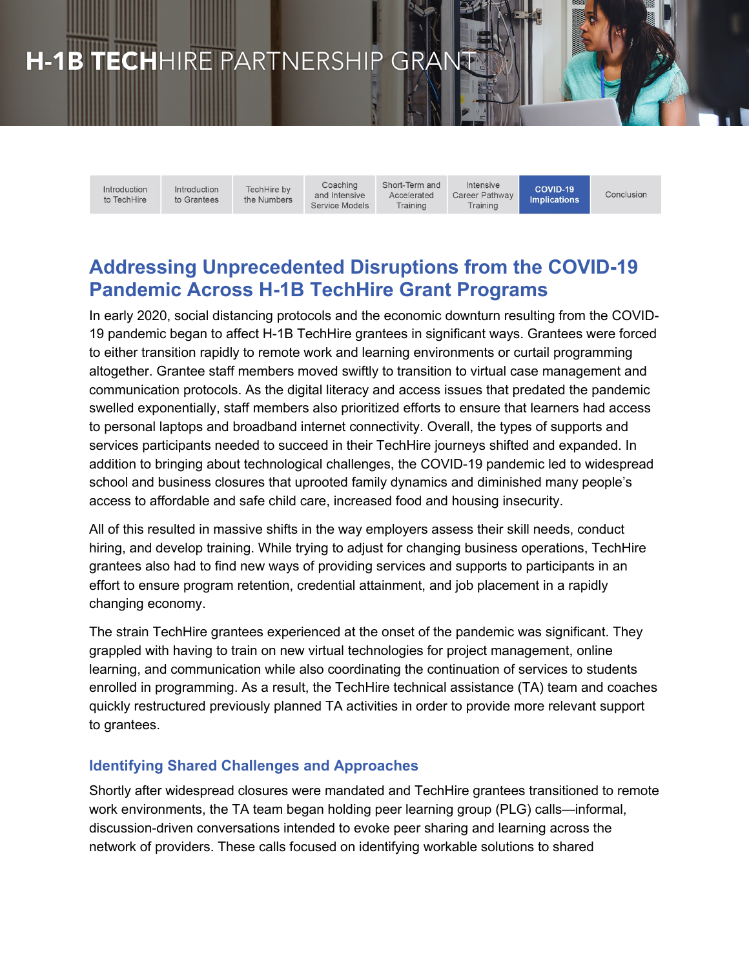# H-1B TECHHIRE PARTNERSHIP GRAN

Introduction to TechHire Introduction to Grantees

Coaching TechHire by and Intensive the Numbers Service Models Short-Term and Accelerated Training

Intensive Career Pathway Training

COVID-19 Conclusion **Implications** 

# **Addressing Unprecedented Disruptions from the COVID-19 Pandemic Across H-1B TechHire Grant Programs**

In early 2020, social distancing protocols and the economic downturn resulting from the COVID-19 pandemic began to affect H-1B TechHire grantees in significant ways. Grantees were forced to either transition rapidly to remote work and learning environments or curtail programming altogether. Grantee staff members moved swiftly to transition to virtual case management and communication protocols. As the digital literacy and access issues that predated the pandemic swelled exponentially, staff members also prioritized efforts to ensure that learners had access to personal laptops and broadband internet connectivity. Overall, the types of supports and services participants needed to succeed in their TechHire journeys shifted and expanded. In addition to bringing about technological challenges, the COVID-19 pandemic led to widespread school and business closures that uprooted family dynamics and diminished many people's access to affordable and safe child care, increased food and housing insecurity.

All of this resulted in massive shifts in the way employers assess their skill needs, conduct hiring, and develop training. While trying to adjust for changing business operations, TechHire grantees also had to find new ways of providing services and supports to participants in an effort to ensure program retention, credential attainment, and job placement in a rapidly changing economy.

The strain TechHire grantees experienced at the onset of the pandemic was significant. They grappled with having to train on new virtual technologies for project management, online learning, and communication while also coordinating the continuation of services to students enrolled in programming. As a result, the TechHire technical assistance (TA) team and coaches quickly restructured previously planned TA activities in order to provide more relevant support to grantees.

# **Identifying Shared Challenges and Approaches**

Shortly after widespread closures were mandated and TechHire grantees transitioned to remote work environments, the TA team began holding peer learning group (PLG) calls—informal, discussion-driven conversations intended to evoke peer sharing and learning across the network of providers. These calls focused on identifying workable solutions to shared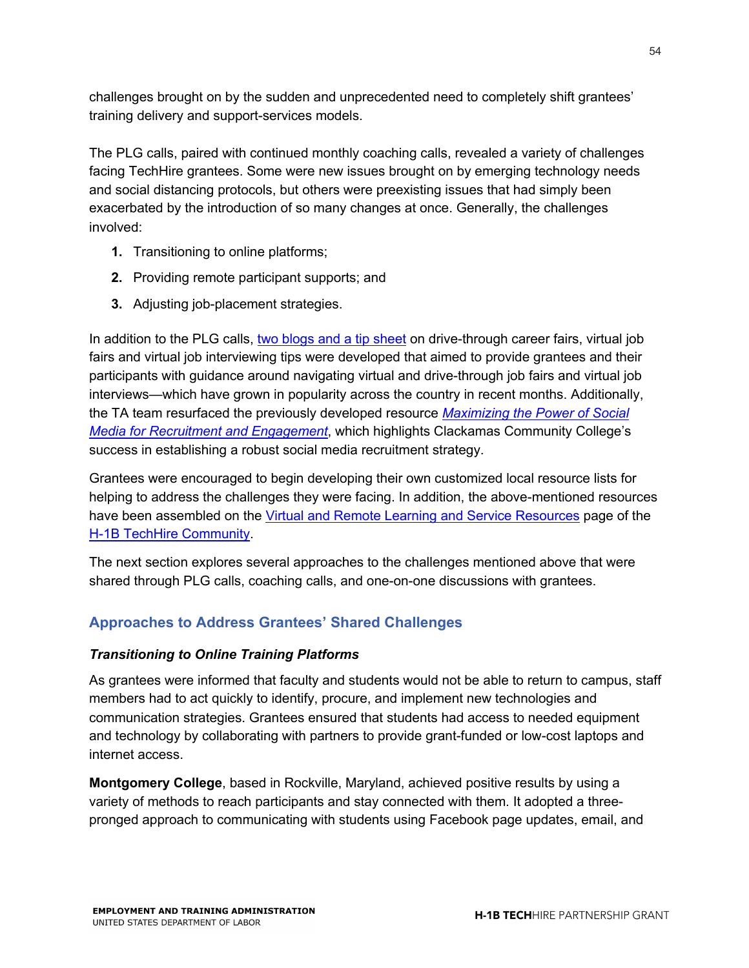challenges brought on by the sudden and unprecedented need to completely shift grantees' training delivery and support-services models.

The PLG calls, paired with continued monthly coaching calls, revealed a variety of challenges facing TechHire grantees. Some were new issues brought on by emerging technology needs and social distancing protocols, but others were preexisting issues that had simply been exacerbated by the introduction of so many changes at once. Generally, the challenges involved:

- **1.** Transitioning to online platforms;
- **2.** Providing remote participant supports; and
- **3.** Adjusting job-placement strategies.

In addition to the PLG calls, two blogs and a tip sheet on drive-through career fairs, virtual job fairs and virtual job interviewing tips were developed that aimed to provide grantees and their participants with guidance around navigating virtual and drive-through job fairs and virtual job interviews—which have grown in popularity across the country in recent months. Additionally, the TA team resurfaced the previously developed resource *Maximizing the Power of Social Media for Recruitment and Engagement*, which highlights Clackamas Community College's success in establishing a robust social media recruitment strategy.

Grantees were encouraged to begin developing their own customized local resource lists for helping to address the challenges they were facing. In addition, the above-mentioned resources have been assembled on the Virtual and Remote Learning and Service Resources page of the H-1B TechHire Community.

The next section explores several approaches to the challenges mentioned above that were shared through PLG calls, coaching calls, and one-on-one discussions with grantees.

# **Approaches to Address Grantees' Shared Challenges**

#### *Transitioning to Online Training Platforms*

As grantees were informed that faculty and students would not be able to return to campus, staff members had to act quickly to identify, procure, and implement new technologies and communication strategies. Grantees ensured that students had access to needed equipment and technology by collaborating with partners to provide grant-funded or low-cost laptops and internet access.

**Montgomery College**, based in Rockville, Maryland, achieved positive results by using a variety of methods to reach participants and stay connected with them. It adopted a threepronged approach to communicating with students using Facebook page updates, email, and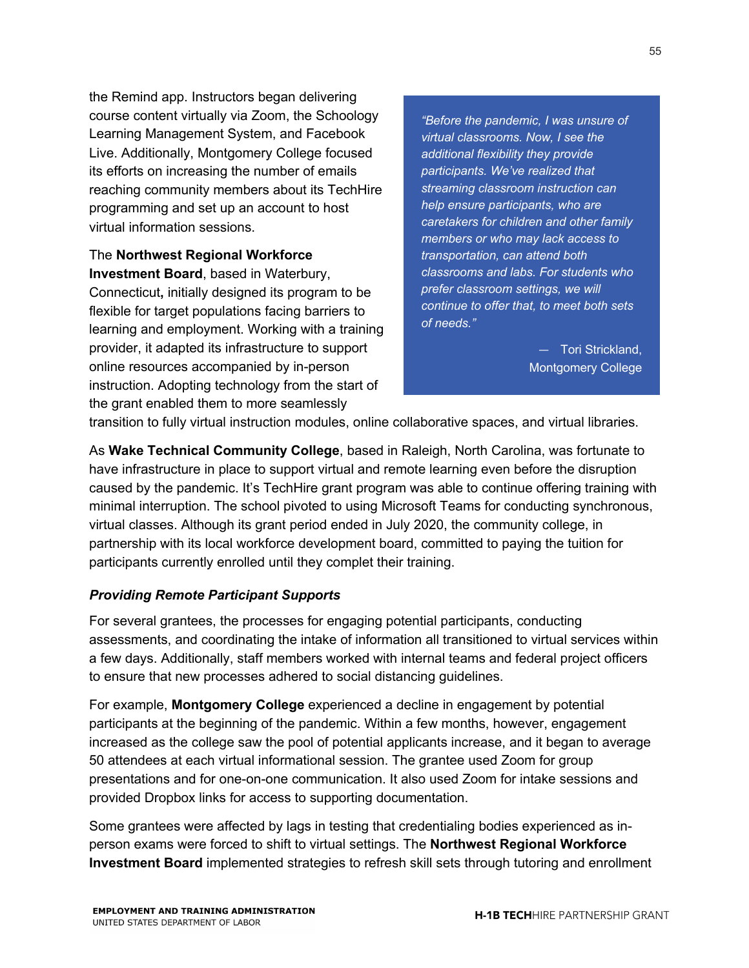the Remind app. Instructors began delivering course content virtually via Zoom, the Schoology Learning Management System, and Facebook Live. Additionally, Montgomery College focused its efforts on increasing the number of emails reaching community members about its TechHire programming and set up an account to host virtual information sessions.

The **Northwest Regional Workforce Investment Board**, based in Waterbury, Connecticut**,** initially designed its program to be flexible for target populations facing barriers to learning and employment. Working with a training provider, it adapted its infrastructure to support online resources accompanied by in-person instruction. Adopting technology from the start of the grant enabled them to more seamlessly

*"Before the pandemic, I was unsure of virtual classrooms. Now, I see the additional flexibility they provide participants. We've realized that streaming classroom instruction can help ensure participants, who are caretakers for children and other family members or who may lack access to transportation, can attend both classrooms and labs. For students who prefer classroom settings, we will continue to offer that, to meet both sets of needs."*

> — Tori Strickland, Montgomery College

transition to fully virtual instruction modules, online collaborative spaces, and virtual libraries.

As **Wake Technical Community College**, based in Raleigh, North Carolina, was fortunate to have infrastructure in place to support virtual and remote learning even before the disruption caused by the pandemic. It's TechHire grant program was able to continue offering training with minimal interruption. The school pivoted to using Microsoft Teams for conducting synchronous, virtual classes. Although its grant period ended in July 2020, the community college, in partnership with its local workforce development board, committed to paying the tuition for participants currently enrolled until they complet their training.

#### *Providing Remote Participant Supports*

For several grantees, the processes for engaging potential participants, conducting assessments, and coordinating the intake of information all transitioned to virtual services within a few days. Additionally, staff members worked with internal teams and federal project officers to ensure that new processes adhered to social distancing guidelines.

For example, **Montgomery College** experienced a decline in engagement by potential participants at the beginning of the pandemic. Within a few months, however, engagement increased as the college saw the pool of potential applicants increase, and it began to average 50 attendees at each virtual informational session. The grantee used Zoom for group presentations and for one-on-one communication. It also used Zoom for intake sessions and provided Dropbox links for access to supporting documentation.

Some grantees were affected by lags in testing that credentialing bodies experienced as inperson exams were forced to shift to virtual settings. The **Northwest Regional Workforce Investment Board** implemented strategies to refresh skill sets through tutoring and enrollment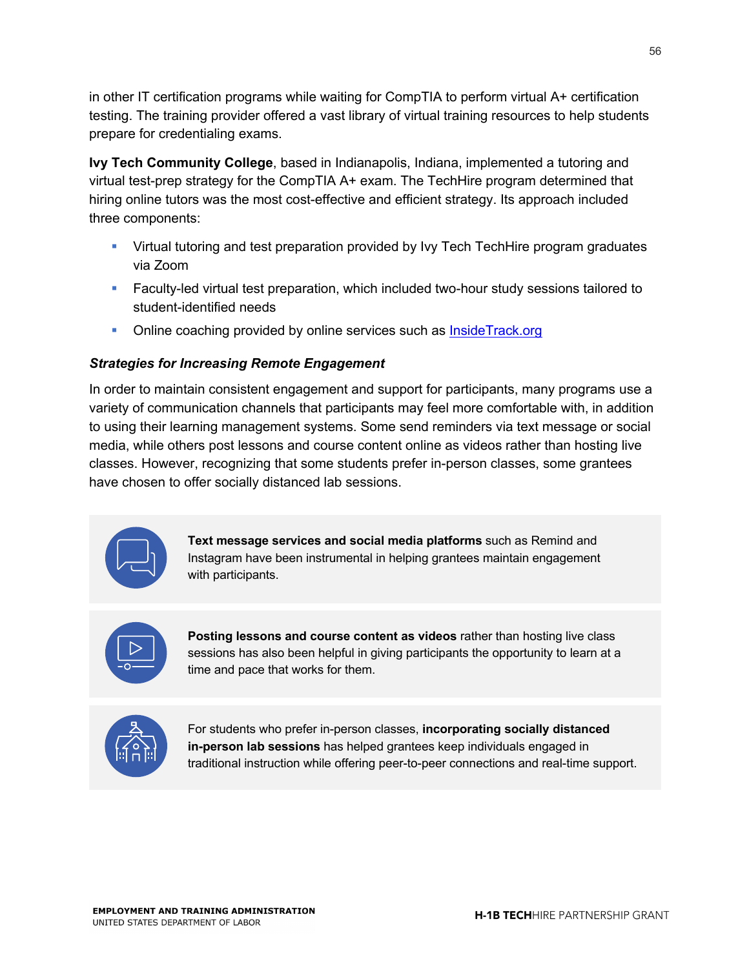in other IT certification programs while waiting for CompTIA to perform virtual A+ certification testing. The training provider offered a vast library of virtual training resources to help students prepare for credentialing exams.

**Ivy Tech Community College**, based in Indianapolis, Indiana, implemented a tutoring and virtual test-prep strategy for the CompTIA A+ exam. The TechHire program determined that hiring online tutors was the most cost-effective and efficient strategy. Its approach included three components:

- Virtual tutoring and test preparation provided by Ivy Tech Tech Hire program graduates via Zoom
- Faculty-led virtual test preparation, which included two-hour study sessions tailored to student-identified needs
- Online coaching provided by online services such as InsideTrack.org

## *Strategies for Increasing Remote Engagement*

In order to maintain consistent engagement and support for participants, many programs use a variety of communication channels that participants may feel more comfortable with, in addition to using their learning management systems. Some send reminders via text message or social media, while others post lessons and course content online as videos rather than hosting live classes. However, recognizing that some students prefer in-person classes, some grantees have chosen to offer socially distanced lab sessions.



**Text message services and social media platforms** such as Remind and Instagram have been instrumental in helping grantees maintain engagement with participants.



**Posting lessons and course content as videos** rather than hosting live class sessions has also been helpful in giving participants the opportunity to learn at a time and pace that works for them.



For students who prefer in-person classes, **incorporating socially distanced in-person lab sessions** has helped grantees keep individuals engaged in traditional instruction while offering peer-to-peer connections and real-time support.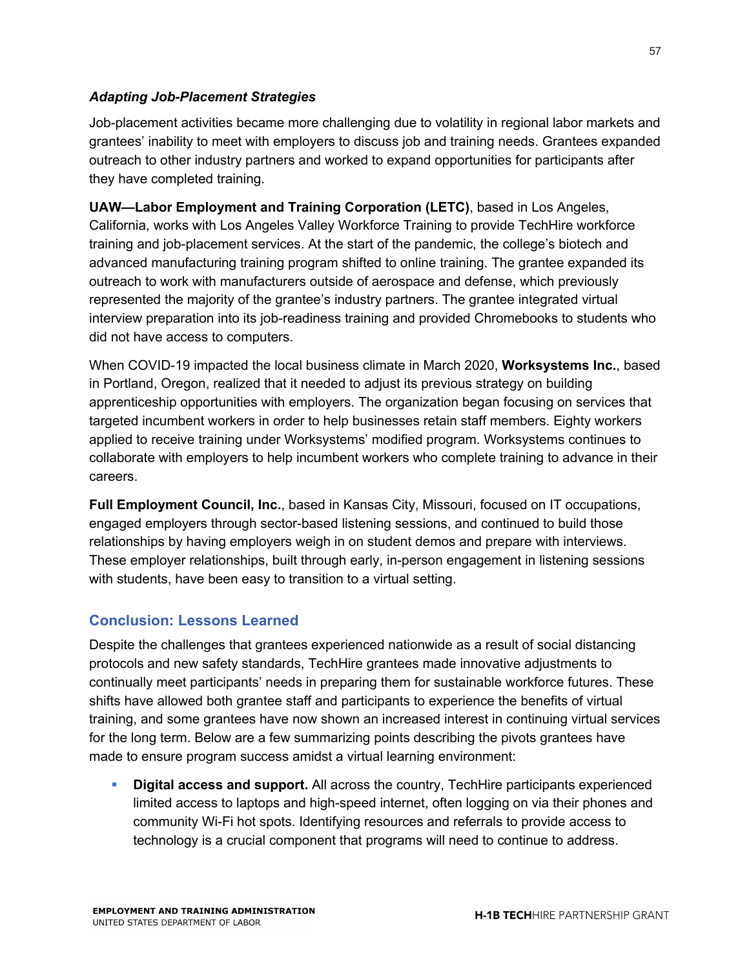#### *Adapting Job-Placement Strategies*

Job-placement activities became more challenging due to volatility in regional labor markets and grantees' inability to meet with employers to discuss job and training needs. Grantees expanded outreach to other industry partners and worked to expand opportunities for participants after they have completed training.

**UAW—Labor Employment and Training Corporation (LETC)**, based in Los Angeles, California, works with Los Angeles Valley Workforce Training to provide TechHire workforce training and job-placement services. At the start of the pandemic, the college's biotech and advanced manufacturing training program shifted to online training. The grantee expanded its outreach to work with manufacturers outside of aerospace and defense, which previously represented the majority of the grantee's industry partners. The grantee integrated virtual interview preparation into its job-readiness training and provided Chromebooks to students who did not have access to computers.

When COVID-19 impacted the local business climate in March 2020, **Worksystems Inc.**, based in Portland, Oregon, realized that it needed to adjust its previous strategy on building apprenticeship opportunities with employers. The organization began focusing on services that targeted incumbent workers in order to help businesses retain staff members. Eighty workers applied to receive training under Worksystems' modified program. Worksystems continues to collaborate with employers to help incumbent workers who complete training to advance in their careers.

**Full Employment Council, Inc.**, based in Kansas City, Missouri, focused on IT occupations, engaged employers through sector-based listening sessions, and continued to build those relationships by having employers weigh in on student demos and prepare with interviews. These employer relationships, built through early, in-person engagement in listening sessions with students, have been easy to transition to a virtual setting.

## **Conclusion: Lessons Learned**

Despite the challenges that grantees experienced nationwide as a result of social distancing protocols and new safety standards, TechHire grantees made innovative adjustments to continually meet participants' needs in preparing them for sustainable workforce futures. These shifts have allowed both grantee staff and participants to experience the benefits of virtual training, and some grantees have now shown an increased interest in continuing virtual services for the long term. Below are a few summarizing points describing the pivots grantees have made to ensure program success amidst a virtual learning environment:

**• Digital access and support.** All across the country, TechHire participants experienced limited access to laptops and high-speed internet, often logging on via their phones and community Wi-Fi hot spots. Identifying resources and referrals to provide access to technology is a crucial component that programs will need to continue to address.